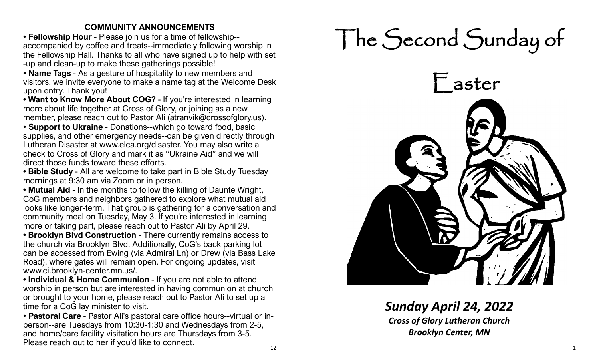# **COMMUNITY ANNOUNCEMENTS**

• **Fellowship Hour -** Please join us for a time of fellowship- accompanied by coffee and treats--immediately following worship in the Fellowship Hall. Thanks to all who have signed up to help with set -up and clean-up to make these gatherings possible!

• **Name Tags** - As a gesture of hospitality to new members and visitors, we invite everyone to make a name tag at the Welcome Desk upon entry. Thank you!

**• Want to Know More About COG?** - If you're interested in learning more about life together at Cross of Glory, or joining as a new member, please reach out to Pastor Ali (atranvik@crossofglory.us).

• **Support to Ukraine** - Donations--which go toward food, basic supplies, and other emergency needs--can be given directly through Lutheran Disaster at www.elca.org/disaster. You may also write a check to Cross of Glory and mark it as "Ukraine Aid" and we will direct those funds toward these efforts.

**• Bible Study** - All are welcome to take part in Bible Study Tuesday mornings at 9:30 am via Zoom or in person.

**• Mutual Aid** - In the months to follow the killing of Daunte Wright, CoG members and neighbors gathered to explore what mutual aid looks like longer-term. That group is gathering for a conversation and community meal on Tuesday, May 3. If you're interested in learning more or taking part, please reach out to Pastor Ali by April 29.

**• Brooklyn Blvd Construction -** There currently remains access to the church via Brooklyn Blvd. Additionally, CoG's back parking lot can be accessed from Ewing (via Admiral Ln) or Drew (via Bass Lake Road), where gates will remain open. For ongoing updates, visit www.ci.brooklyn-center.mn.us/.

**• Individual & Home Communion** - If you are not able to attend worship in person but are interested in having communion at church or brought to your home, please reach out to Pastor Ali to set up a time for a CoG lay minister to visit.

• **Pastoral Care** - Pastor Ali's pastoral care office hours--virtual or inperson--are Tuesdays from 10:30-1:30 and Wednesdays from 2-5, and home/care facility visitation hours are Thursdays from 3-5. Please reach out to her if you'd like to connect.





*Sunday April 24, 2022 Cross of Glory Lutheran Church Brooklyn Center, MN*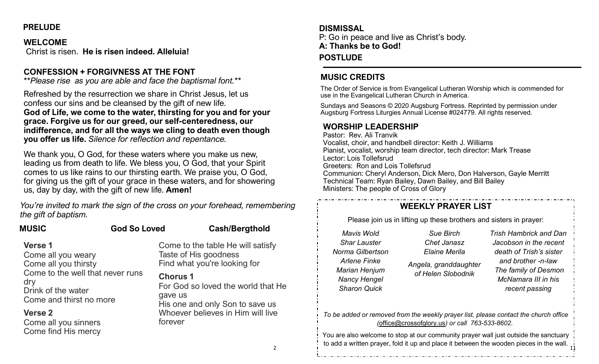# **PRELUDE**

### **WELCOME** Christ is risen. **He is risen indeed. Alleluia!**

# **CONFESSION + FORGIVNESS AT THE FONT**

*\*\*Please rise as you are able and face the baptismal font.\*\**

Refreshed by the resurrection we share in Christ Jesus, let us confess our sins and be cleansed by the gift of new life. **God of Life, we come to the water, thirsting for you and for your grace. Forgive us for our greed, our self-centeredness, our indifference, and for all the ways we cling to death even though you offer us life.** *Silence for reflection and repentance..*

We thank you, O God, for these waters where you make us new, leading us from death to life. We bless you, O God, that your Spirit comes to us like rains to our thirsting earth. We praise you, O God, for giving us the gift of your grace in these waters, and for showering us, day by day, with the gift of new life. **Amen!**

*You're invited to mark the sign of the cross on your forehead, remembering the gift of baptism.*

| <b>MUSIC</b>                                                                             | <b>God So Loved</b> | <b>Cash/Bergthold</b>                                                                                                                               |
|------------------------------------------------------------------------------------------|---------------------|-----------------------------------------------------------------------------------------------------------------------------------------------------|
| <b>Verse 1</b><br>Come all you weary<br>Come all you thirsty                             |                     | Come to the table He will satisfy<br>Taste of His goodness<br>Find what you're looking for                                                          |
| Come to the well that never runs<br>dry<br>Drink of the water<br>Come and thirst no more |                     | <b>Chorus 1</b><br>For God so loved the world that He<br>gave us<br>His one and only Son to save us<br>Whoever believes in Him will live<br>forever |
| <b>Verse 2</b><br>Come all you sinners<br>Come find His mercy                            |                     |                                                                                                                                                     |

# **DISMISSAL**

P: Go in peace and live as Christ's body. **A: Thanks be to God! POSTLUDE**

# **MUSIC CREDITS**

The Order of Service is from Evangelical Lutheran Worship which is commended for use in the Evangelical Lutheran Church in America.

Sundays and Seasons © 2020 Augsburg Fortress. Reprinted by permission under Augsburg Fortress Liturgies Annual License #024779. All rights reserved.

# **WORSHIP LEADERSHIP**

Pastor: Rev. Ali Tranvik Vocalist, choir, and handbell director: Keith J. Williams Pianist, vocalist, worship team director, tech director: Mark Trease Lector: Lois Tollefsrud Greeters: Ron and Lois Tollefsrud Communion: Cheryl Anderson, Dick Mero, Don Halverson, Gayle Merritt Technical Team: Ryan Bailey, Dawn Bailey, and Bill Bailey Ministers: The people of Cross of Glory

# **WEEKLY PRAYER LIST**

Please join us in lifting up these brothers and sisters in prayer:

*Mavis Wold Shar Lauster Norma Gilbertson Arlene Finke Marian Henjum Nancy Hengel Sharon Quick* 

*Sue Birch Chet Janasz Elaine Merila*

*Angela, granddaughter of Helen Slobodnik*

*Trish Hambrick and Dan Jacobson in the recent death of Trish's sister and brother -n-law The family of Desmon McNamara III in his recent passing*

*To be added or removed from the weekly prayer list, please contact the church office (*[office@crossofglory.us](mailto:office@crossofglory.us)*) or call 763-533-8602.*

11 You are also welcome to stop at our community prayer wall just outside the sanctuary to add a written prayer, fold it up and place it between the wooden pieces in the wall.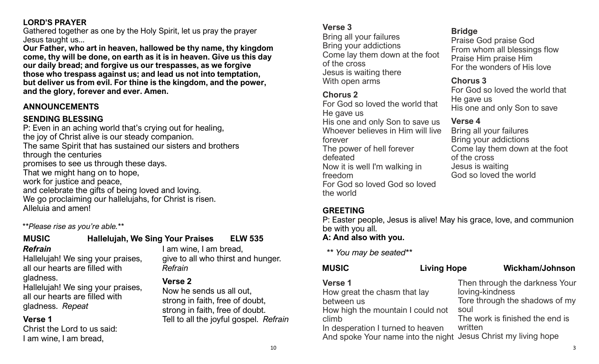# **LORD'S PRAYER**

Gathered together as one by the Holy Spirit, let us pray the prayer Jesus taught us...

**Our Father, who art in heaven, hallowed be thy name, thy kingdom come, thy will be done, on earth as it is in heaven. Give us this day our daily bread; and forgive us our trespasses, as we forgive those who trespass against us; and lead us not into temptation, but deliver us from evil. For thine is the kingdom, and the power, and the glory, forever and ever. Amen.** 

# **ANNOUNCEMENTS**

# **SENDING BLESSING**

P: Even in an aching world that's crying out for healing, the joy of Christ alive is our steady companion. The same Spirit that has sustained our sisters and brothers through the centuries promises to see us through these days. That we might hang on to hope, work for justice and peace, and celebrate the gifts of being loved and loving. We go proclaiming our hallelujahs, for Christ is risen. Alleluia and amen!

*\*\*Please rise as you're able.\*\**

#### *Refrain* I am wine, I am bread, give to all who thirst and hunger. **MUSIC Hallelujah, We Sing Your Praises ELW 535**

*Refrain*

**Verse 2**

Now he sends us all out,

strong in faith, free of doubt, strong in faith, free of doubt.

Tell to all the joyful gospel. *Refrain*

Hallelujah! We sing your praises, all our hearts are filled with gladness. Hallelujah! We sing your praises, all our hearts are filled with

gladness. *Repeat*

# **Verse 1**

Christ the Lord to us said: I am wine, I am bread,

# **Verse 3**

Bring all your failures Bring your addictions Come lay them down at the foot of the cross Jesus is waiting there With open arms

# **Chorus 2**

For God so loved the world that He gave us His one and only Son to save us Whoever believes in Him will live forever The power of hell forever defeated Now it is well I'm walking in freedom For God so loved God so loved the world

# **Bridge**

Praise God praise God From whom all blessings flow Praise Him praise Him For the wonders of His love

# **Chorus 3**

For God so loved the world that He gave us His one and only Son to save

# **Verse 4**

Bring all your failures Bring your addictions Come lay them down at the foot of the cross Jesus is waiting God so loved the world

# **GREETING**

P: Easter people, Jesus is alive! May his grace, love, and communion be with you all.

**A: And also with you.**

*\*\* You may be seated\*\**

## **MUSIC Living Hope Wickham/Johnson**

## **Verse 1**

How great the chasm that lay between us How high the mountain I could not climb In desperation I turned to heaven

Then through the darkness Your

loving-kindness Tore through the shadows of my

soul The work is finished the end is written

And spoke Your name into the night Jesus Christ my living hope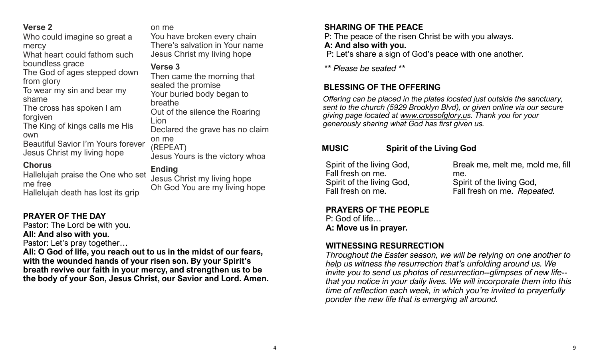Who could imagine so great a mercy What heart could fathom such

boundless grace

The God of ages stepped down from glory

To wear my sin and bear my shame

The cross has spoken I am forgiven

The King of kings calls me His own

Beautiful Savior I'm Yours forever Jesus Christ my living hope

## **Chorus**

Hallelujah praise the One who set me free Hallelujah death has lost its grip

# **PRAYER OF THE DAY**

Pastor: The Lord be with you.

### **All: And also with you.**

Pastor: Let's pray together…

**All: O God of life, you reach out to us in the midst of our fears, with the wounded hands of your risen son. By your Spirit's breath revive our faith in your mercy, and strengthen us to be the body of your Son, Jesus Christ, our Savior and Lord. Amen.**

on me

You have broken every chain There's salvation in Your name Jesus Christ my living hope

# **Verse 3**

Then came the morning that sealed the promise Your buried body began to breathe Out of the silence the Roaring Lion Declared the grave has no claim on me (REPEAT) Jesus Yours is the victory whoa

# **Ending**

Jesus Christ my living hope Oh God You are my living hope

# **SHARING OF THE PEACE**

P: The peace of the risen Christ be with you always.

# **A: And also with you.**

P: Let's share a sign of God's peace with one another.

*\*\* Please be seated \*\**

# **BLESSING OF THE OFFERING**

*Offering can be placed in the plates located just outside the sanctuary, sent to the church (5929 Brooklyn Blvd), or given online via our secure giving page located at [www.crossofglory.us](http://www.crossofglory.us). Thank you for your generously sharing what God has first given us.*

# **MUSIC Spirit of the Living God**

Spirit of the living God, Fall fresh on me. Spirit of the living God, Fall fresh on me.

Break me, melt me, mold me, fill me. Spirit of the living God, Fall fresh on me. *Repeated.*

## **PRAYERS OF THE PEOPLE**

P: God of life… **A: Move us in prayer.**

# **WITNESSING RESURRECTION**

*Throughout the Easter season, we will be relying on one another to help us witness the resurrection that's unfolding around us. We invite you to send us photos of resurrection--glimpses of new life- that you notice in your daily lives. We will incorporate them into this time of reflection each week, in which you're invited to prayerfully ponder the new life that is emerging all around.*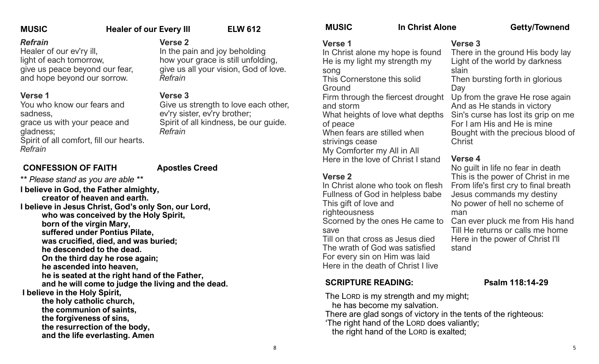#### *Refrain*

Healer of our ev'ry ill, light of each tomorrow, give us peace beyond our fear, and hope beyond our sorrow.

#### **Verse 1**

You who know our fears and sadness, grace us with your peace and gladness; Spirit of all comfort, fill our hearts. *Refrain*

# **CONFESSION OF FAITH Apostles Creed**

**I believe in God, the Father almighty, creator of heaven and earth. I believe in Jesus Christ, God's only Son, our Lord, who was conceived by the Holy Spirit, born of the virgin Mary, suffered under Pontius Pilate, was crucified, died, and was buried; he descended to the dead. On the third day he rose again; he ascended into heaven, he is seated at the right hand of the Father, and he will come to judge the living and the dead. I believe in the Holy Spirit, the holy catholic church, the communion of saints, the forgiveness of sins, the resurrection of the body, and the life everlasting. Amen** *\*\* Please stand as you are able \*\**

# **MUSIC Healer of our Every Ill ELW 612**

## **Verse 2**

In the pain and joy beholding how your grace is still unfolding, give us all your vision, God of love. *Refrain*

### **Verse 3**

Give us strength to love each other, ev'ry sister, ev'ry brother; Spirit of all kindness, be our guide. *Refrain*

In Christ alone my hope is found He is my light my strength my

Firm through the fiercest drought

What heights of love what depths

Here in the love of Christ I stand

In Christ alone who took on flesh Fullness of God in helpless babe

Scorned by the ones He came to

Till on that cross as Jesus died The wrath of God was satisfied For every sin on Him was laid Here in the death of Christ I live

This Cornerstone this solid

When fears are stilled when

My Comforter my All in All

**Verse 1**

song

**Ground** 

and storm

of peace

**Verse 2**

save

strivings cease

This gift of love and

righteousness

**MUSIC** In Christ Alone Getty/Townend

# **Verse 3**

There in the ground His body lay Light of the world by darkness slain

Then bursting forth in glorious Day

Up from the grave He rose again And as He stands in victory Sin's curse has lost its grip on me For I am His and He is mine Bought with the precious blood of **Christ** 

### **Verse 4**

No guilt in life no fear in death This is the power of Christ in me From life's first cry to final breath Jesus commands my destiny No power of hell no scheme of man

Can ever pluck me from His hand Till He returns or calls me home Here in the power of Christ I'll stand

## **SCRIPTURE READING: Psalm 118:14-29**

5

The LORD is my strength and my might; he has become my salvation. There are glad songs of victory in the tents of the righteous: 'The right hand of the LORD does valiantly; the right hand of the LORD is exalted;